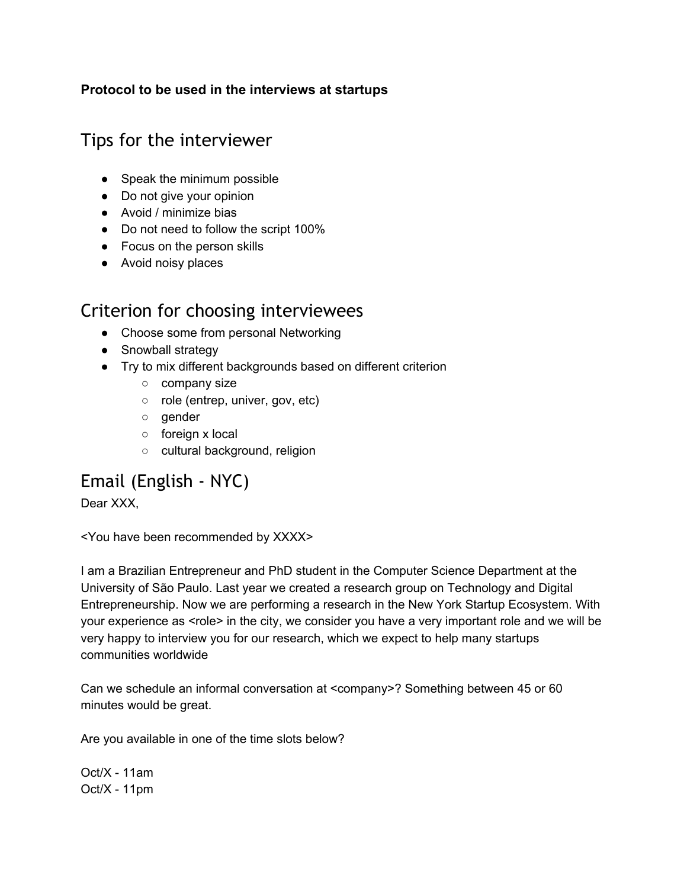#### **Protocol to be used in the interviews at startups**

# Tips for the interviewer

- Speak the minimum possible
- Do not give your opinion
- Avoid / minimize bias
- Do not need to follow the script 100%
- Focus on the person skills
- Avoid noisy places

# Criterion for choosing interviewees

- Choose some from personal Networking
- Snowball strategy
- Try to mix different backgrounds based on different criterion
	- company size
	- role (entrep, univer, gov, etc)
	- gender
	- foreign x local
	- cultural background, religion

# Email (English ‐ NYC)

Dear XXX,

<You have been recommended by XXXX>

I am a Brazilian Entrepreneur and PhD student in the Computer Science Department at the University of São Paulo. Last year we created a research group on Technology and Digital Entrepreneurship. Now we are performing a research in the New York Startup Ecosystem. With your experience as <role> in the city, we consider you have a very important role and we will be very happy to interview you for our research, which we expect to help many startups communities worldwide

Can we schedule an informal conversation at <company>? Something between 45 or 60 minutes would be great.

Are you available in one of the time slots below?

 $Oct/X - 11am$  $Oct/X - 11pm$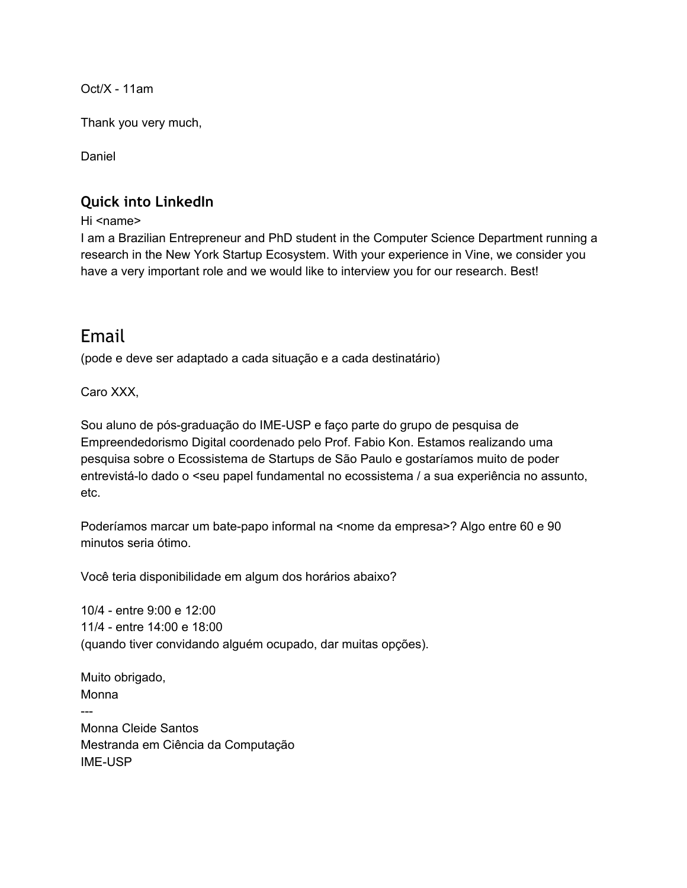$Oct/X - 11am$ 

Thank you very much,

Daniel

### **Quick into LinkedIn**

Hi <name>

I am a Brazilian Entrepreneur and PhD student in the Computer Science Department running a research in the New York Startup Ecosystem. With your experience in Vine, we consider you have a very important role and we would like to interview you for our research. Best!

# Email

(pode e deve ser adaptado a cada situação e a cada destinatário)

Caro XXX,

Sou aluno de pós-graduação do IME-USP e faço parte do grupo de pesquisa de Empreendedorismo Digital coordenado pelo Prof. Fabio Kon. Estamos realizando uma pesquisa sobre o Ecossistema de Startups de São Paulo e gostaríamos muito de poder entrevistálo dado o <seu papel fundamental no ecossistema / a sua experiência no assunto, etc.

Poderíamos marcar um bate-papo informal na <nome da empresa>? Algo entre 60 e 90 minutos seria ótimo.

Você teria disponibilidade em algum dos horários abaixo?

10/4 entre 9:00 e 12:00 11/4 entre 14:00 e 18:00 (quando tiver convidando alguém ocupado, dar muitas opções).

Muito obrigado, Monna ---Monna Cleide Santos Mestranda em Ciência da Computação **IME-USP**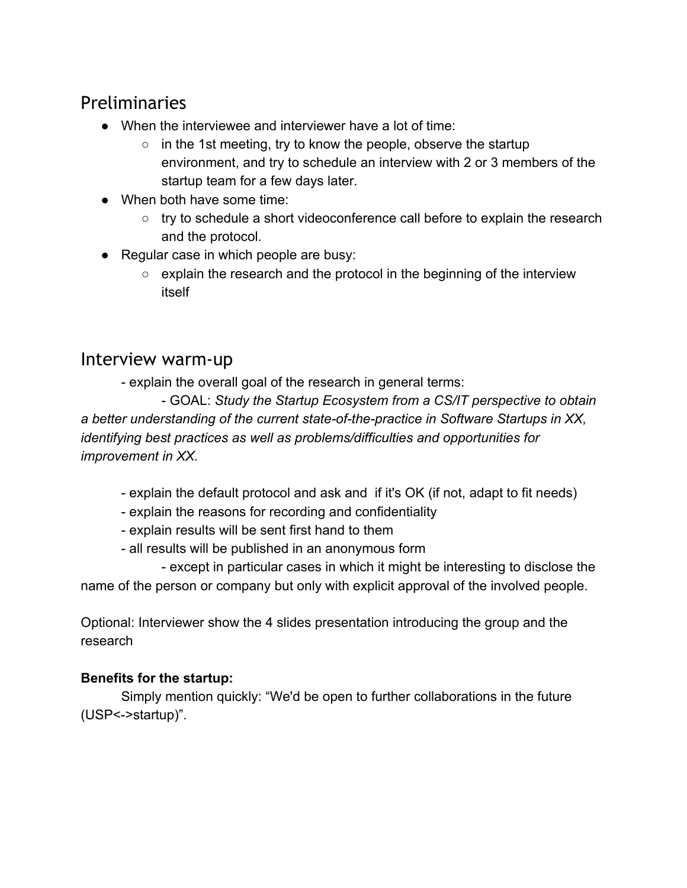# Preliminaries

- When the interviewee and interviewer have a lot of time:
	- $\circ$  in the 1st meeting, try to know the people, observe the startup environment, and try to schedule an interview with 2 or 3 members of the startup team for a few days later.
- When both have some time:
	- try to schedule a short videoconference call before to explain the research and the protocol.
- Regular case in which people are busy:
	- explain the research and the protocol in the beginning of the interview itself

# Interview warm‐up

explain the overall goal of the research in general terms:

 GOAL: *Study the Startup Ecosystem from a CS/IT perspective to obtain a* better understanding of the current state-of-the-practice in Software Startups in XX, *identifying best practices as well as problems/difficulties and opportunities for improvement in XX.*

- explain the default protocol and ask and if it's OK (if not, adapt to fit needs)
- explain the reasons for recording and confidentiality
- explain results will be sent first hand to them
- all results will be published in an anonymous form

 except in particular cases in which it might be interesting to disclose the name of the person or company but only with explicit approval of the involved people.

Optional: Interviewer show the 4 slides presentation introducing the group and the research

### **Benefits for the startup:**

Simply mention quickly: "We'd be open to further collaborations in the future (USP<->startup)".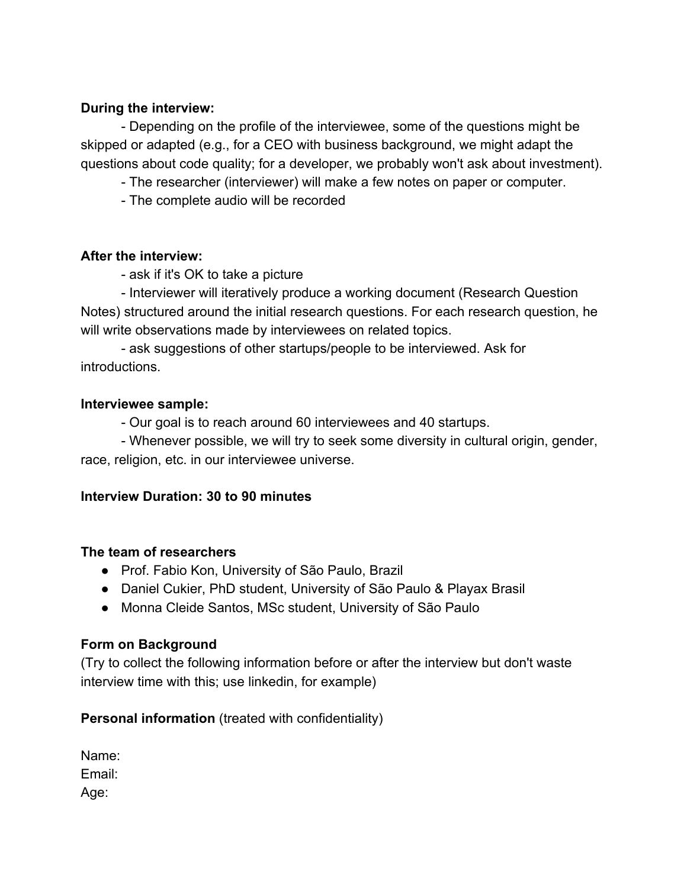#### **During the interview:**

 Depending on the profile of the interviewee, some of the questions might be skipped or adapted (e.g., for a CEO with business background, we might adapt the questions about code quality; for a developer, we probably won't ask about investment).

The researcher (interviewer) will make a few notes on paper or computer.

The complete audio will be recorded

#### **After the interview:**

ask if it's OK to take a picture

- Interviewer will iteratively produce a working document (Research Question Notes) structured around the initial research questions. For each research question, he will write observations made by interviewees on related topics.

 ask suggestions of other startups/people to be interviewed. Ask for introductions.

#### **Interviewee sample:**

Our goal is to reach around 60 interviewees and 40 startups.

 Whenever possible, we will try to seek some diversity in cultural origin, gender, race, religion, etc. in our interviewee universe.

#### **Interview Duration: 30 to 90 minutes**

#### **The team of researchers**

- Prof. Fabio Kon, University of São Paulo, Brazil
- Daniel Cukier, PhD student, University of São Paulo & Playax Brasil
- Monna Cleide Santos, MSc student, University of São Paulo

#### **Form on Background**

(Try to collect the following information before or after the interview but don't waste interview time with this; use linkedin, for example)

#### **Personal information** (treated with confidentiality)

| Name:  |
|--------|
| Email: |
| Age:   |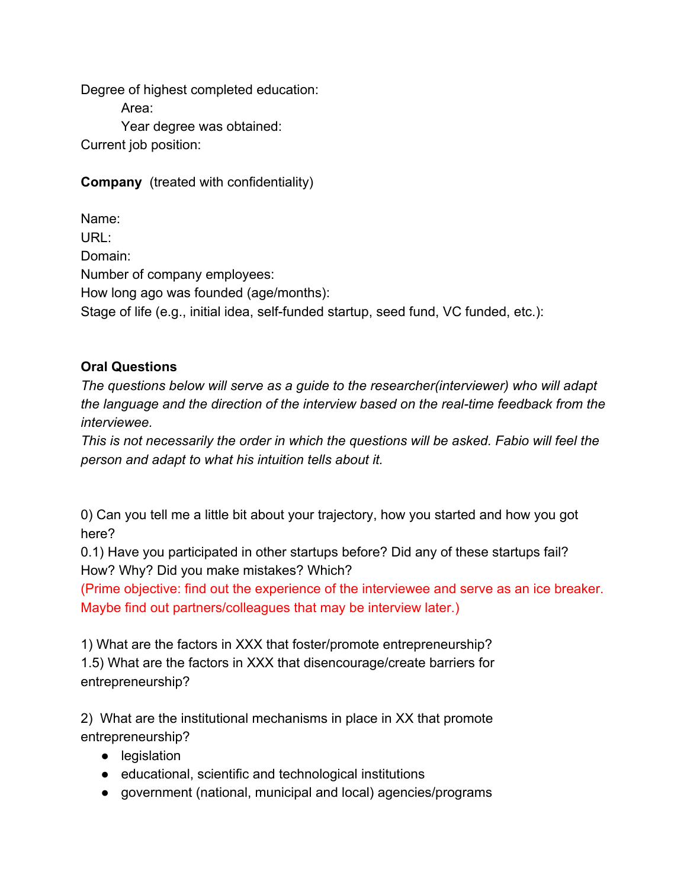Degree of highest completed education: Area: Year degree was obtained: Current job position:

**Company**(treated with confidentiality)

Name: URL: Domain: Number of company employees: How long ago was founded (age/months): Stage of life (e.g., initial idea, self-funded startup, seed fund, VC funded, etc.):

### **Oral Questions**

*The questions below will serve as a guide to the researcher(interviewer) who will adapt the language and the direction of the interview based on the realtime feedback from the interviewee.*

*This is not necessarily the order in which the questions will be asked. Fabio will feel the person and adapt to what his intuition tells about it.*

0) Can you tell me a little bit about your trajectory, how you started and how you got here?

0.1) Have you participated in other startups before? Did any of these startups fail? How? Why? Did you make mistakes? Which?

(Prime objective: find out the experience of the interviewee and serve as an ice breaker. Maybe find out partners/colleagues that may be interview later.)

1) What are the factors in XXX that foster/promote entrepreneurship? 1.5) What are the factors in XXX that disencourage/create barriers for entrepreneurship?

2) What are the institutional mechanisms in place in XX that promote entrepreneurship?

- legislation
- educational, scientific and technological institutions
- government (national, municipal and local) agencies/programs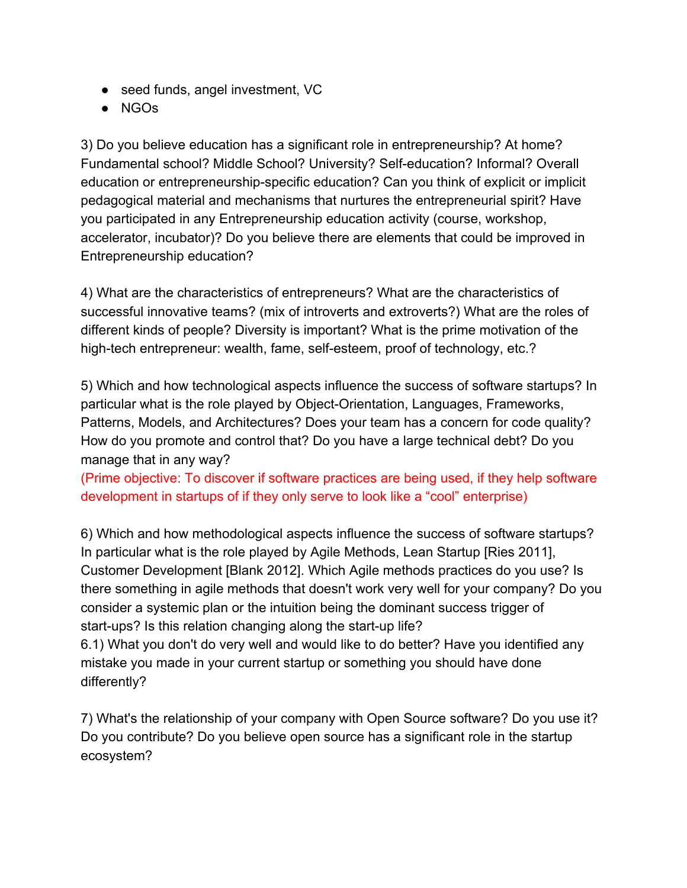- seed funds, angel investment, VC
- NGOs

3) Do you believe education has a significant role in entrepreneurship? At home? Fundamental school? Middle School? University? Self-education? Informal? Overall education or entrepreneurship-specific education? Can you think of explicit or implicit pedagogical material and mechanisms that nurtures the entrepreneurial spirit? Have you participated in any Entrepreneurship education activity (course, workshop, accelerator, incubator)? Do you believe there are elements that could be improved in Entrepreneurship education?

4) What are the characteristics of entrepreneurs? What are the characteristics of successful innovative teams? (mix of introverts and extroverts?) What are the roles of different kinds of people? Diversity is important? What is the prime motivation of the high-tech entrepreneur: wealth, fame, self-esteem, proof of technology, etc.?

5) Which and how technological aspects influence the success of software startups? In particular what is the role played by Object-Orientation, Languages, Frameworks, Patterns, Models, and Architectures? Does your team has a concern for code quality? How do you promote and control that? Do you have a large technical debt? Do you manage that in any way?

(Prime objective: To discover if software practices are being used, if they help software development in startups of if they only serve to look like a "cool" enterprise)

6) Which and how methodological aspects influence the success of software startups? In particular what is the role played by Agile Methods, Lean Startup [Ries 2011], Customer Development [Blank 2012]. Which Agile methods practices do you use? Is there something in agile methods that doesn't work very well for your company? Do you consider a systemic plan or the intuition being the dominant success trigger of start-ups? Is this relation changing along the start-up life?

6.1) What you don't do very well and would like to do better? Have you identified any mistake you made in your current startup or something you should have done differently?

7) What's the relationship of your company with Open Source software? Do you use it? Do you contribute? Do you believe open source has a significant role in the startup ecosystem?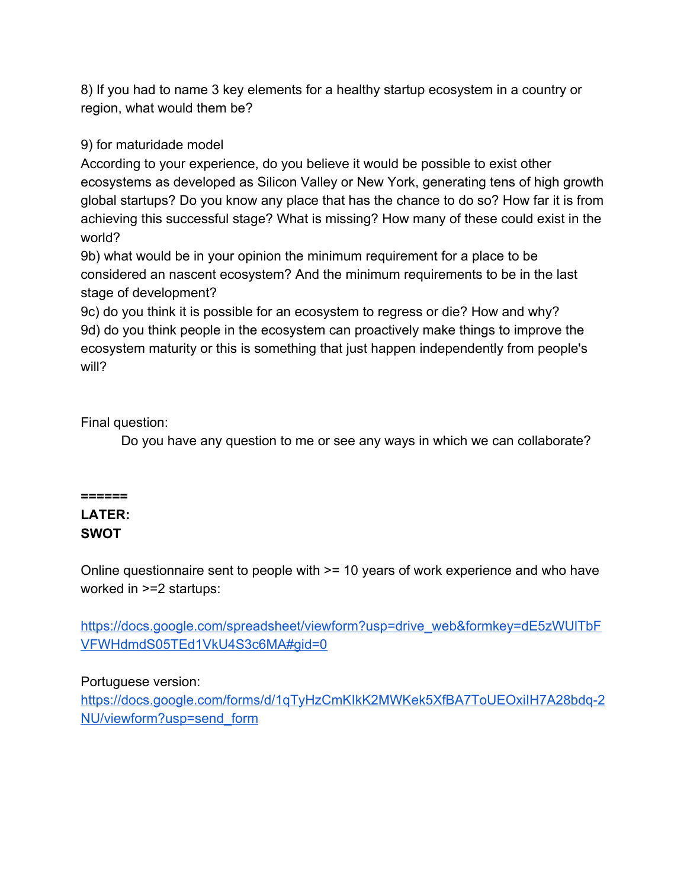8) If you had to name 3 key elements for a healthy startup ecosystem in a country or region, what would them be?

9) for maturidade model

According to your experience, do you believe it would be possible to exist other ecosystems as developed as Silicon Valley or New York, generating tens of high growth global startups? Do you know any place that has the chance to do so? How far it is from achieving this successful stage? What is missing? How many of these could exist in the world?

9b) what would be in your opinion the minimum requirement for a place to be considered an nascent ecosystem? And the minimum requirements to be in the last stage of development?

9c) do you think it is possible for an ecosystem to regress or die? How and why? 9d) do you think people in the ecosystem can proactively make things to improve the ecosystem maturity or this is something that just happen independently from people's will?

Final question:

Do you have any question to me or see any ways in which we can collaborate?

## **======**

#### **LATER: SWOT**

Online questionnaire sent to people with >= 10 years of work experience and who have worked in >=2 startups:

https://docs.google.com/spreadsheet/viewform?usp=drive\_web&formkey=dE5zWUITbF [VFWHdmdS05TEd1VkU4S3c6MA#gid=0](https://docs.google.com/spreadsheet/viewform?usp=drive_web&formkey=dE5zWUlTbFVFWHdmdS05TEd1VkU4S3c6MA#gid=0)

### Portuguese version:

https://docs.google.com/forms/d/1qTyHzCmKIkK2MWKek5XfBA7ToUEOxilH7A28bdq-2 [NU/viewform?usp=send\\_form](https://docs.google.com/forms/d/1qTyHzCmKIkK2MWKek5XfBA7ToUEOxiIH7A28bdq-2NU/viewform?usp=send_form)